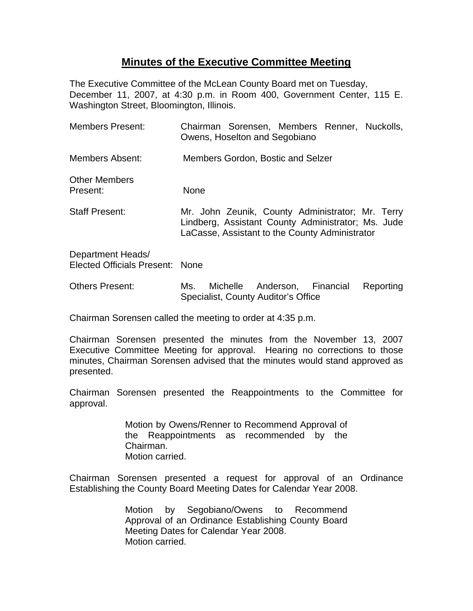## **Minutes of the Executive Committee Meeting**

The Executive Committee of the McLean County Board met on Tuesday, December 11, 2007, at 4:30 p.m. in Room 400, Government Center, 115 E. Washington Street, Bloomington, Illinois.

| Members Present:                                     | Chairman Sorensen, Members Renner, Nuckolls,<br>Owens, Hoselton and Segobiano                                                                            |
|------------------------------------------------------|----------------------------------------------------------------------------------------------------------------------------------------------------------|
| Members Absent:                                      | Members Gordon, Bostic and Selzer                                                                                                                        |
| <b>Other Members</b><br>Present:                     | <b>None</b>                                                                                                                                              |
| <b>Staff Present:</b>                                | Mr. John Zeunik, County Administrator; Mr. Terry<br>Lindberg, Assistant County Administrator; Ms. Jude<br>LaCasse, Assistant to the County Administrator |
| Department Heads/<br>Elected Officials Present: None |                                                                                                                                                          |

Others Present: Ms. Michelle Anderson, Financial Reporting Specialist, County Auditor's Office

Chairman Sorensen called the meeting to order at 4:35 p.m.

Chairman Sorensen presented the minutes from the November 13, 2007 Executive Committee Meeting for approval. Hearing no corrections to those minutes, Chairman Sorensen advised that the minutes would stand approved as presented.

Chairman Sorensen presented the Reappointments to the Committee for approval.

> Motion by Owens/Renner to Recommend Approval of the Reappointments as recommended by the Chairman. Motion carried.

Chairman Sorensen presented a request for approval of an Ordinance Establishing the County Board Meeting Dates for Calendar Year 2008.

> Motion by Segobiano/Owens to Recommend Approval of an Ordinance Establishing County Board Meeting Dates for Calendar Year 2008. Motion carried.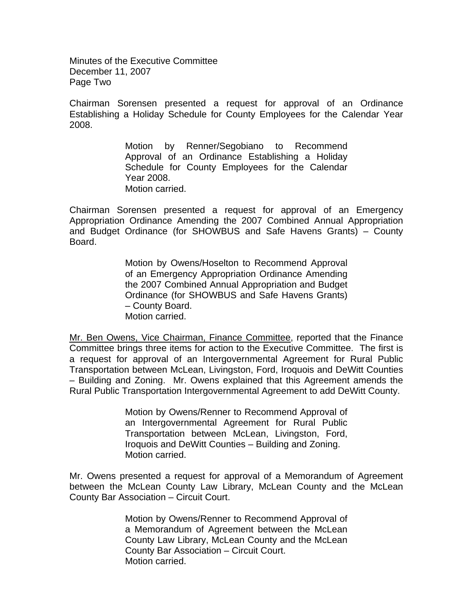Minutes of the Executive Committee December 11, 2007 Page Two

Chairman Sorensen presented a request for approval of an Ordinance Establishing a Holiday Schedule for County Employees for the Calendar Year 2008.

> Motion by Renner/Segobiano to Recommend Approval of an Ordinance Establishing a Holiday Schedule for County Employees for the Calendar Year 2008. Motion carried.

Chairman Sorensen presented a request for approval of an Emergency Appropriation Ordinance Amending the 2007 Combined Annual Appropriation and Budget Ordinance (for SHOWBUS and Safe Havens Grants) – County Board.

> Motion by Owens/Hoselton to Recommend Approval of an Emergency Appropriation Ordinance Amending the 2007 Combined Annual Appropriation and Budget Ordinance (for SHOWBUS and Safe Havens Grants) – County Board. Motion carried.

Mr. Ben Owens, Vice Chairman, Finance Committee, reported that the Finance Committee brings three items for action to the Executive Committee. The first is a request for approval of an Intergovernmental Agreement for Rural Public Transportation between McLean, Livingston, Ford, Iroquois and DeWitt Counties – Building and Zoning. Mr. Owens explained that this Agreement amends the Rural Public Transportation Intergovernmental Agreement to add DeWitt County.

> Motion by Owens/Renner to Recommend Approval of an Intergovernmental Agreement for Rural Public Transportation between McLean, Livingston, Ford, Iroquois and DeWitt Counties – Building and Zoning. Motion carried.

Mr. Owens presented a request for approval of a Memorandum of Agreement between the McLean County Law Library, McLean County and the McLean County Bar Association – Circuit Court.

> Motion by Owens/Renner to Recommend Approval of a Memorandum of Agreement between the McLean County Law Library, McLean County and the McLean County Bar Association – Circuit Court. Motion carried.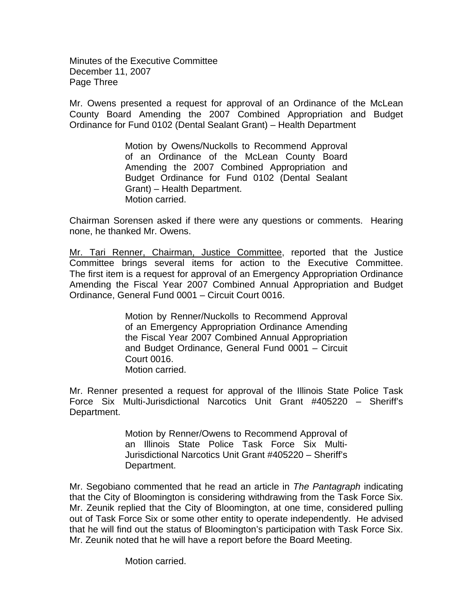Minutes of the Executive Committee December 11, 2007 Page Three

Mr. Owens presented a request for approval of an Ordinance of the McLean County Board Amending the 2007 Combined Appropriation and Budget Ordinance for Fund 0102 (Dental Sealant Grant) – Health Department

> Motion by Owens/Nuckolls to Recommend Approval of an Ordinance of the McLean County Board Amending the 2007 Combined Appropriation and Budget Ordinance for Fund 0102 (Dental Sealant Grant) – Health Department. Motion carried.

Chairman Sorensen asked if there were any questions or comments. Hearing none, he thanked Mr. Owens.

Mr. Tari Renner, Chairman, Justice Committee, reported that the Justice Committee brings several items for action to the Executive Committee. The first item is a request for approval of an Emergency Appropriation Ordinance Amending the Fiscal Year 2007 Combined Annual Appropriation and Budget Ordinance, General Fund 0001 – Circuit Court 0016.

> Motion by Renner/Nuckolls to Recommend Approval of an Emergency Appropriation Ordinance Amending the Fiscal Year 2007 Combined Annual Appropriation and Budget Ordinance, General Fund 0001 – Circuit Court 0016. Motion carried.

Mr. Renner presented a request for approval of the Illinois State Police Task Force Six Multi-Jurisdictional Narcotics Unit Grant #405220 – Sheriff's Department.

> Motion by Renner/Owens to Recommend Approval of an Illinois State Police Task Force Six Multi-Jurisdictional Narcotics Unit Grant #405220 – Sheriff's Department.

Mr. Segobiano commented that he read an article in *The Pantagraph* indicating that the City of Bloomington is considering withdrawing from the Task Force Six. Mr. Zeunik replied that the City of Bloomington, at one time, considered pulling out of Task Force Six or some other entity to operate independently. He advised that he will find out the status of Bloomington's participation with Task Force Six. Mr. Zeunik noted that he will have a report before the Board Meeting.

Motion carried.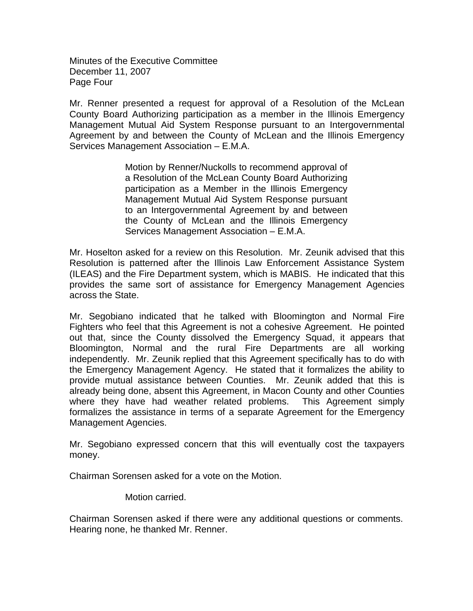Minutes of the Executive Committee December 11, 2007 Page Four

Mr. Renner presented a request for approval of a Resolution of the McLean County Board Authorizing participation as a member in the Illinois Emergency Management Mutual Aid System Response pursuant to an Intergovernmental Agreement by and between the County of McLean and the Illinois Emergency Services Management Association – E.M.A.

> Motion by Renner/Nuckolls to recommend approval of a Resolution of the McLean County Board Authorizing participation as a Member in the Illinois Emergency Management Mutual Aid System Response pursuant to an Intergovernmental Agreement by and between the County of McLean and the Illinois Emergency Services Management Association – E.M.A.

Mr. Hoselton asked for a review on this Resolution. Mr. Zeunik advised that this Resolution is patterned after the Illinois Law Enforcement Assistance System (ILEAS) and the Fire Department system, which is MABIS. He indicated that this provides the same sort of assistance for Emergency Management Agencies across the State.

Mr. Segobiano indicated that he talked with Bloomington and Normal Fire Fighters who feel that this Agreement is not a cohesive Agreement. He pointed out that, since the County dissolved the Emergency Squad, it appears that Bloomington, Normal and the rural Fire Departments are all working independently. Mr. Zeunik replied that this Agreement specifically has to do with the Emergency Management Agency. He stated that it formalizes the ability to provide mutual assistance between Counties. Mr. Zeunik added that this is already being done, absent this Agreement, in Macon County and other Counties where they have had weather related problems. This Agreement simply formalizes the assistance in terms of a separate Agreement for the Emergency Management Agencies.

Mr. Segobiano expressed concern that this will eventually cost the taxpayers money.

Chairman Sorensen asked for a vote on the Motion.

Motion carried.

Chairman Sorensen asked if there were any additional questions or comments. Hearing none, he thanked Mr. Renner.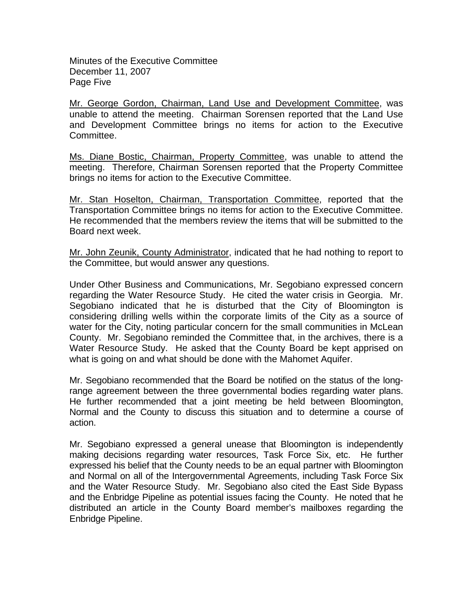Minutes of the Executive Committee December 11, 2007 Page Five

Mr. George Gordon, Chairman, Land Use and Development Committee, was unable to attend the meeting. Chairman Sorensen reported that the Land Use and Development Committee brings no items for action to the Executive Committee.

Ms. Diane Bostic, Chairman, Property Committee, was unable to attend the meeting. Therefore, Chairman Sorensen reported that the Property Committee brings no items for action to the Executive Committee.

Mr. Stan Hoselton, Chairman, Transportation Committee, reported that the Transportation Committee brings no items for action to the Executive Committee. He recommended that the members review the items that will be submitted to the Board next week.

Mr. John Zeunik, County Administrator, indicated that he had nothing to report to the Committee, but would answer any questions.

Under Other Business and Communications, Mr. Segobiano expressed concern regarding the Water Resource Study. He cited the water crisis in Georgia. Mr. Segobiano indicated that he is disturbed that the City of Bloomington is considering drilling wells within the corporate limits of the City as a source of water for the City, noting particular concern for the small communities in McLean County. Mr. Segobiano reminded the Committee that, in the archives, there is a Water Resource Study. He asked that the County Board be kept apprised on what is going on and what should be done with the Mahomet Aquifer.

Mr. Segobiano recommended that the Board be notified on the status of the longrange agreement between the three governmental bodies regarding water plans. He further recommended that a joint meeting be held between Bloomington, Normal and the County to discuss this situation and to determine a course of action.

Mr. Segobiano expressed a general unease that Bloomington is independently making decisions regarding water resources, Task Force Six, etc. He further expressed his belief that the County needs to be an equal partner with Bloomington and Normal on all of the Intergovernmental Agreements, including Task Force Six and the Water Resource Study. Mr. Segobiano also cited the East Side Bypass and the Enbridge Pipeline as potential issues facing the County. He noted that he distributed an article in the County Board member's mailboxes regarding the Enbridge Pipeline.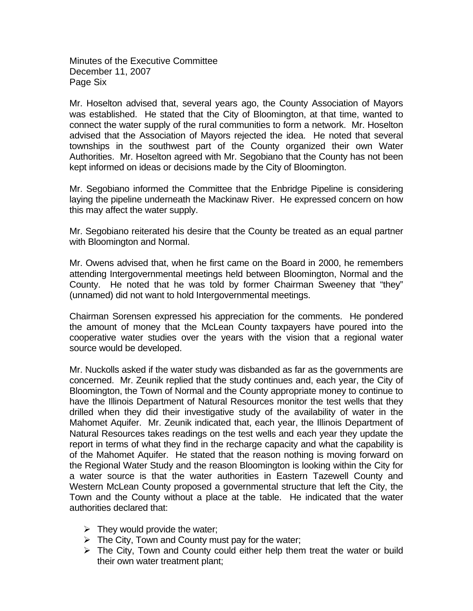Minutes of the Executive Committee December 11, 2007 Page Six

Mr. Hoselton advised that, several years ago, the County Association of Mayors was established. He stated that the City of Bloomington, at that time, wanted to connect the water supply of the rural communities to form a network. Mr. Hoselton advised that the Association of Mayors rejected the idea. He noted that several townships in the southwest part of the County organized their own Water Authorities. Mr. Hoselton agreed with Mr. Segobiano that the County has not been kept informed on ideas or decisions made by the City of Bloomington.

Mr. Segobiano informed the Committee that the Enbridge Pipeline is considering laying the pipeline underneath the Mackinaw River. He expressed concern on how this may affect the water supply.

Mr. Segobiano reiterated his desire that the County be treated as an equal partner with Bloomington and Normal.

Mr. Owens advised that, when he first came on the Board in 2000, he remembers attending Intergovernmental meetings held between Bloomington, Normal and the County. He noted that he was told by former Chairman Sweeney that "they" (unnamed) did not want to hold Intergovernmental meetings.

Chairman Sorensen expressed his appreciation for the comments. He pondered the amount of money that the McLean County taxpayers have poured into the cooperative water studies over the years with the vision that a regional water source would be developed.

Mr. Nuckolls asked if the water study was disbanded as far as the governments are concerned. Mr. Zeunik replied that the study continues and, each year, the City of Bloomington, the Town of Normal and the County appropriate money to continue to have the Illinois Department of Natural Resources monitor the test wells that they drilled when they did their investigative study of the availability of water in the Mahomet Aquifer. Mr. Zeunik indicated that, each year, the Illinois Department of Natural Resources takes readings on the test wells and each year they update the report in terms of what they find in the recharge capacity and what the capability is of the Mahomet Aquifer. He stated that the reason nothing is moving forward on the Regional Water Study and the reason Bloomington is looking within the City for a water source is that the water authorities in Eastern Tazewell County and Western McLean County proposed a governmental structure that left the City, the Town and the County without a place at the table. He indicated that the water authorities declared that:

- $\triangleright$  They would provide the water;
- $\triangleright$  The City, Town and County must pay for the water;
- $\triangleright$  The City, Town and County could either help them treat the water or build their own water treatment plant;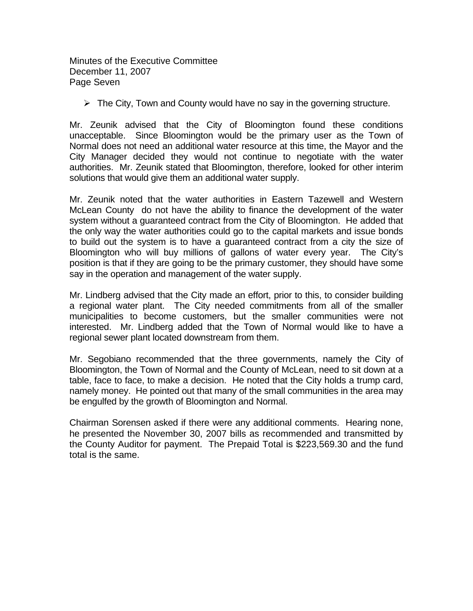Minutes of the Executive Committee December 11, 2007 Page Seven

 $\triangleright$  The City, Town and County would have no say in the governing structure.

Mr. Zeunik advised that the City of Bloomington found these conditions unacceptable. Since Bloomington would be the primary user as the Town of Normal does not need an additional water resource at this time, the Mayor and the City Manager decided they would not continue to negotiate with the water authorities. Mr. Zeunik stated that Bloomington, therefore, looked for other interim solutions that would give them an additional water supply.

Mr. Zeunik noted that the water authorities in Eastern Tazewell and Western McLean County do not have the ability to finance the development of the water system without a guaranteed contract from the City of Bloomington. He added that the only way the water authorities could go to the capital markets and issue bonds to build out the system is to have a guaranteed contract from a city the size of Bloomington who will buy millions of gallons of water every year. The City's position is that if they are going to be the primary customer, they should have some say in the operation and management of the water supply.

Mr. Lindberg advised that the City made an effort, prior to this, to consider building a regional water plant. The City needed commitments from all of the smaller municipalities to become customers, but the smaller communities were not interested. Mr. Lindberg added that the Town of Normal would like to have a regional sewer plant located downstream from them.

Mr. Segobiano recommended that the three governments, namely the City of Bloomington, the Town of Normal and the County of McLean, need to sit down at a table, face to face, to make a decision. He noted that the City holds a trump card, namely money. He pointed out that many of the small communities in the area may be engulfed by the growth of Bloomington and Normal.

Chairman Sorensen asked if there were any additional comments. Hearing none, he presented the November 30, 2007 bills as recommended and transmitted by the County Auditor for payment. The Prepaid Total is \$223,569.30 and the fund total is the same.